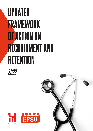# UPDATED FRAMEWORK OF ACTION ON RECRUITMENT AND RETENTION





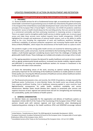# UPDATED FRAMEWORK OF ACTION ON RECRUITMENT AND RETENTION

# **Updated Framework of Action on Recruitment and Retention 2022**

# **1. PREAMBLE**

1.1 Access to health services for all is a fundamental human right, an essential part of the European social model*.* Commitment to guaranteeing access to health was reiterated by the global community in the 3rd goal of the United Nations Sustainable Development Goals<sup>1</sup> and at the EU level in the 16th principle of the European Pillar of Social Rights<sup>2</sup>. Furthermore, the COVID-19 pandemic underlines that patients' access to health should always be the overriding priority, that care cannot be treated as a commercial commodity and that continuing investment in improving services is important. There is an urgent need to strengthen public health services to deliver quality care, to ensure equal access and make these services more resilient towards future health emergencies. COVID-19 highlighted the strength and weaknesses of national health systems, such as the ability to swiftly adapt to the crisis including the organisation of work and healthcare workforce shortages, insufficient availability of personal protective equipment and increasing Psycho-social risks and Stress at Work (PSRS@W) , which impact the attractiveness of the health sector as a place to work*.*

The pandemic taught us that strong public health services are essential for delivering quality care. All relevant actors, public and private, must be committed to the functioning of these services. This implies a multi-faceted approach considering lessons learnt from the challenges of dealing with global public health threats. These challenges are multiple and complex and amongst others include:

1.2 The ageing population increases the demand for quality healthcare and social services coupled with an ageing, predominantly female workforce, increased cross-border mobility, migrant workers and difficulties in recruiting and retaining healthcare workers. An increase in investment in the health sector will make it more attractive.

1.3 Given the demanding nature of the work*,* ensuring an optimal working environment is particularly important for the well-being of the healthcare workforce to enable patients to receive timely quality care. Ensuring the efficient provision of healthcare services allows healthcare workers to focus on delivering high quality care.

1.4 The financial and economic crisis, and recently, the COVID-19 pandemic**,** strongly impacted the healthcare sector*.* Furthermore, in some Member States, the health sector was already suffering from ongoing insufficient funding. Cuts in healthcare resources applied in some countries have **had** detrimental consequences for public health, workforce availability and service infrastructure*.* Member States should develop their capacity to proactively plan services and organise resources at local, regional and national level and aim for strengthening and maintaining the sustainability, quality and resilience of health systems.

# **2. GENERAL CONSIDERATION**

2.1 Member States are responsible for the organisation and delivery of healthcare systems as stipulated in Article 168 (7) of the Treaty of the Functioning of the European Union (TFEU)<sup>3</sup>. Social partners should work with national, regional, and local authorities when developing and implementing policies relating to the health workforce. EPSU and HOSPEEM encourage national

<sup>1</sup> United Nations. *Transforming our World: The 2030 Agenda for Sustainable Development*. (2015).

<sup>2</sup> European Commission, European Parliament & Council of the European Union. European pillar of social rights. (Publications Office of the European Union, 2017).

<sup>3</sup> *Consolidated version of the Treaty on the Functioning of the European Union*. *115* vol. OJ C (2008).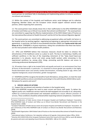social partners to contribute fully to developing and implementing policies to enhance workforce recruitment and retention.

2.2 Within the context of the hospitals and healthcare sector social dialogue and its collective bargaining, Member States and the European Union should support national sectoral social partners, whilst respecting their autonomy.

<span id="page-2-0"></span>2.3 The social partners have already shown this in their reaffirmation to the EPSU-HOSPEEM Code of Conduct and Follow-up on Ethical Cross-border Recruitment and Retention<sup>45</sup>. The social partners are committed to supporting the effective implementation of the WHO Global Code of Practice on the International Recruitment of Health Personnel<sup>6</sup> and the ILO Fair Recruitment Migration Agenda<sup>7</sup>.

<span id="page-2-2"></span><span id="page-2-1"></span>2.4 The social partners are committed to addressing occupational safety and health risk factors in the hospital sector by working together, negotiating and agreeing on appropriate instruments and agreements. In particular, the field of musculoskeletal disorders (MSD) and P**sycho-social risks and Stress at** Work (PSRS@W) is of great importance, taking into consideration that these two factors are the most prevalent work-related health problems*.*

2.5 EPSU and HOSPEEM believe that necessary measures should be taken to enhance the attractiveness of the healthcare sector as a place to work. The key to maintaining a healthy and sufficient workforce in the face of the impending retirement of the "baby boom"/post-war generation is to educate, recruit and retain young health workers while reinvesting in the experienced workforce by, among other things, promoting work-life balance and access to continuing professional development (CPD) .

2.6 All workers have a right to be treated fairly and equally and work in an environment free from all forms of discrimination*.* In particular, it is essential to ensure gender pay equality in the highly female-dominated sector and actively combat discrimination, including based on age, ethnic and migration background, sexual orientation, gender reassignment*.*

2.7 HOSPEEM and EPSU recognise the benefit of work-life balance, among others*,* to meet the need for its health workforce and are committed to promoting it in line with Directive 2019/1158 on worklife balance for parents and carers<sup>8</sup>.

# **3. SPECIFIC AREAS OF ACTIONS**

3.1 Support the recruitment and retention of workers in the hospital sector

EPSU and HOSPEEM recognise the need to meet current and future staff needs. To deliver the highest quality care, healthcare services need to be well-equipped and accessible to all, adequately staffed by a continuously well-trained and motivated workforce to ensure efficient provision of services**.** These conditions should be achieved whilst respecting national competences*.* Investments

<sup>4</sup>European Federation of Public Service Unions & European Hospital and Healthcare Employers' Association. EPSU-HOSPEEM Code of Conduct and follow up on Ethical Cross-Border Recruitment and Retention in the Hospital Sector. (2008).

<sup>5</sup> European Federation of Public Service Unions & European Hospital and Healthcare Employers' Association. 10 year anniversary of the EPSU-HOSPEEM Code of Conduct on Ethical Cross-Border Recruitment and Retention. (2018).

<sup>6</sup> World Health Organization. WHO Global Code of Practice on the International Recruitment of Health Personnel. (2010).

<sup>7</sup> International Labour Conference. *Fair migration setting an ILO agenda*. (International Labour Office, 2014).

<sup>8</sup> *Directive (EU) 2019/1158 of the European Parliament and of the Council of 20 June 2019 on work-life balance for parents and carers and repealing Council Directive 2010/18/EU*. *188* vol. OJ L (2019).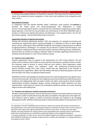in training and working conditions are therefore a necessity. This means that the health workforce needs to be valued and receive recognition in their terms and conditions to be competitive with other sectors.

### **Recruitment of workers**

In cooperation with the relevant Member States' authorities, social partners will **continue** to promote the health sector and attract young people into employment in health services. Concerning migrant workers, social partners are committed to supporting a holistic rightsbased approach in line with the key principles and commitments of the EPSU-HOSPEEM Code of Conduct on Ethical Cross Border Recruitment and Retention in the Hospital Sector<sup>4</sup>[,](#page-2-0) the ILO Fair Recruitment [a](#page-2-1)genda<sup>7</sup> and the WHO Global Code of Practice<sup>[69](#page-2-2)</sup>.

# **Supporting retention of experienced workers**

Valuing and retaining experienced workers' skills and expertise*,* for example, by coaching and mentoring less experienced staff to transfer knowledge. It is important to have an active ageing policy in place, reflecting the EPSU-HOSPEEM Guidelines and examples of good practice to address an ageing workforce's challenges<sup>10</sup>. For example, this can allow for a better work-life balance, such as reducing the working time before retirement without adversely affecting pension entitlements. Social partners at all levels are calling on Member States to develop supporting infrastructures to facilitate work-life balance in a 24/7 service delivery context.

### **3.2 Improve work organisation**

Hospital organisations have to respond to the requirements of a 24/7 service delivery. This will alwaysremain a feature in the healthcare sector and hasto be based on a workforce that can render the necessary range of services in various shifts and work patterns. Work organisation needs to consider patients, workers and employers' needs and preferences**,** including work-life balance*.* Workers, through their trade unions, should have the opportunity to be involved in determining work organisation. Better work-life balance will lead to improved quality of work and job motivation and reduce occupational health hazards.

HOSPEEM and EPSU acknowledge the benefits gained from staff having planned and agreed hours of work and rest periods. Social partners will cooperate to promote the best way of delivering quality healthcare and safeguarding staff and patient health and safety. Social partners should consider implementing innovative workplace designs, actively involving the health workforce and their representative, trade unions for instance, by involving the healthcare workers at an early rostering stage to ensure safe staffing level*.* 

# **3.3 Develop and implement workforce planning mechanisms**

Workforce planning mechani[s](#page-2-2)ms<sup>6</sup> need to take account of present and future needs to ensure that an adequate number of staff with the requisite skills are available in the right place at the right time. Such measures need to adhere to ethical recruitment principles and respond to the changing demographic profile. Workforce planning needs to involve the participation of social partners on all

<sup>9</sup> As stipulated in the EPSU-HOSPEEM Code of Conduct on Ethical Cross Border Recruitment and Retention in the Hospital Sector, this could include organising pre-departure orientation training in their country of origin to fully inform them about their rights and support their inclusion in the sector. To ensure the same rights, benefits, and social protection for migrant workers were comparable to the receiving country's local workers. Furthermore, Social partners are committed to supporting migrants at the workplace and beyond.

<sup>&</sup>lt;sup>10</sup> European Federation of Public Service Unions & European Hospital and Healthcare Employers' Association. EPSU-HOSPEEM Guidelines and examples of good practice to address the challenges of an ageing workforce in the healthcare sector. (2013).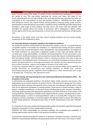levels, focused, among other things, on workers needs and professional development to improve the quality of care. This may involve examining the current and future skill needs of the sector*,* adjusting skills mix and task shifting to the most appropriate level, provided that skills mix contributes to the improvement of care and working conditions*.* HOSPEEM and EPSU agree that staffing the service may require various working patterns, ensuring quality health services, improvement of work-life balance and workers' standard of living*.* HOSPEEM and EPSU believe that providing a wide range of work patterns will help recruit and retain staff and alleviate staff shortages, for example where the number of permanent staff is inadequate to deliver quality service, agency staff can be used temporarily to ensure the continued maintenance of high-quality care.

All workers in the health sector must have decent working conditions and be treated equally, irrespective of their employment status*.* 

# **3.4 Encourage diversity and gender equality in the healthcare workforce**

The healthcare workforce should reflect the diversity of the society it cares for. To provide diversity and gender equality in the health care workforce, it is important that existing and future policies offer equal access to work-life balance, career development, and training facilities. The majority of the health workforce are womenand, a significant number of both male and female staff also currently have caring responsibilities. To facilitate the full participation of men and women in the labour market, healthcare employers and social partners should take measures and develop policies that will improve workers' work-life balance. Action is necessary to attract more men to take up employment in the healthcare sector**.** Social partners are committed to develop, promote and share policies and good practices to encourage participation and inclusion of under-represented groups such as ethnic minorities, migrants and refugees at all levels of the health sector**.**

To that end, employers with the support of trade unions and national bodies should regularly use existing information on remuneration and working conditions to identify and monitor discrimination based on gender, migration, ethnic background, or other characteristics such as age or disability and, if necessary, take appropriate action.

# **3.5 Initial training, life-long-learning (LLL) and continuing professional development (CPD) for all workers in the sector**

A well-trained and motivated workforce will produce better health outcomes and services**.** The organisation has to include measures to protect time for CPD (and where agreed also LLL), within working time where relevant and required, and to create safe and adequate staffing levels so that staff can be replaced to participate in training activities. Social partners should envisage a range of options, including secondments, on-the-job training, including peer-to-peer learning, mentorship, e-learning (while provided with appropriate equipment) and other innovative career policies and training methods. Extending the available career opportunities for workers, including that of underrepresented groups, is critical in retaining healthcare staff as it can help offer a long-term career prospectus. Further, investing in LLL and CPD supports the Member States to aim for self-sufficiency of their health workforce, reducing the brain drain of health professionals to the other Member States.

It is important to have close cooperation between both publicly and privately organised training and national social partners to have a good quality of training.

HOSPEEM and EPSU acknowledge the connection between the investment and availability of training opportunities and the health of the workforce workforce's health.

Social partners should encourage the uptake of, in particular, training to prevent or minimise risks related to musculoskeletal disorders and psychosocial stress and risk at work. CPD needs to reflect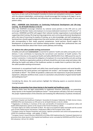new forms of care, such as the hospital's transition to home care and patient-centred care. Together with the relevant stakeholders, social partners should encourage that training at all stages is up-todate and delivered most effectively and efficiently and contributes to higher quality of care and patient safety*.*

# **EPSU – HOSPEEM Joint Declaration on Continuing Professional Development and Life-Long-Learning for All Health Workers in the EU**

EPSU and HOSPEEM encourage initiatives by national social partners in the CPD and LLL and encourage the Member States and employers to increase dedicated investment in CPD and LLL**<sup>11</sup>**. In particular*,* HOSPEEM and EPSU will support their national member organisations in promoting and supporting initial training, life-long learning programmes and continuing professional development with a the view of improving the quality of training, up to date knowledge, and staff competences. Social partners should support programmes that assist workers who have undergone training to find jobs corresponding to their newly acquired competences. Social partners should support the development of programmes and initiatives helping workers manage their professional lives and make informed decisions about their future career pathway and training.

# **3.6 Achieve the safest possible working environment**

A healthy and safe work **environment** is essential for patients' health and safety and quality of care delivery. It also contributes to improving the recruitment and retention of health workers. The Framework Directive on Occupational Health and Safety (89/391/EEC) from 1989 paved the way for workers' protection. It reiterated the obligation of employers for ensuring healthy and safe working condition. Workforce organization policies at all levelsshould thus aim to pre-empt and reduce risks affecting the health and safety of the healthcare workers to enable them to perform their jobs in the safest possible working environment**.**

Investments in occupational health and safety have overall positive economic and social benefits, as underlined by the social partners and organised civil society<sup>12</sup>, and European Agency of Safety and Health at Work $13$ . The COVID-19 pandemic underscores the importance of personal protective equipment, adequate workforce level, access to vaccination and promotion of good mental health and tackling burnout $^{14}$ .

Considering the above, the social partners highlight the following aspects as essential elements moving forward**.**

# **Directive on prevention from sharp injuries in the hospital and healthcare sector**

Member States have the legal responsibility to implement Directive 2010/32/EU on preventing sharp injuries in the hospital and healthcare sector<sup>15</sup>. Social partners will play a full role in ensuring the proper implementation of this Directive and reviewing the effectiveness of policies introduced,

<sup>&</sup>lt;sup>11</sup> European Hospital and Healthcare Employers' Association & European Federation of Public Service Unions. HOSPEEM-EPSU Joint Declaration on CPD and LLL for all Health Workers in the EU. (2016).

 $12$  Rogalewski, A. & Bontea, A. Summary of the costs and benefits of Investments in occupational safety and health (OSH) (Exploratory opinion at the request of the Finnish Presidency). (2019).

<sup>13</sup> European Agency for Safety and Health at Work. *The value of occupational safety and health and the societal costs of work-related injuries and diseases.* (Publications Office of the European Union, 2019).

<sup>14</sup> European Centre for Disease Prevention and Control. *Infection prevention and control and preparedness for COVID-19 in healthcare settings - sixth update*. 27 (2021).

<sup>15</sup> European Council. *Council Directive 2010/32/EU of 10 May 2010 implementing the Framework Agreement on prevention from sharp injuries in the hospital and healthcare sector concluded by HOSPEEM and EPSU (Text with EEA relevance)*. *134* vol. OJ L (2010).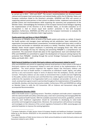as carried out in 2012 – 2013 and 2019<sup>16</sup>. The survey's recommendations are directed towards national and European level social partners and national bodies within the EU Member States and European institutions linked to the Directive's principles. HOSPEEM and EPSU will commit to supporting national social partners in their actions to address further, implement and evaluate the possible actions and recommendations while respecting the autonomy and competences of the Member States. Acknowledging the limitations of the European Sectoral Social Dialogue regarding the implementation of the Directive in all EU Member States, an EU-wide evaluation on its transposition is vital to ensure equal level workers' protection in line with European legislation. Furthermore, HOSPEEM and EPSU call on the European Commission to evaluate the Directive's transposition to Members State's legal systems.

# **Psycho-social risks and Stress at Work (PSRS@W)**

The presence of PSRS@W affects all levels of the health system and society as a whole: It impacts the health workers and managers (poor well-being and job satisfaction, lower motivation), the organisation (increased absenteeism, presenteeism, increased accident and injury rates), as well as society (costs and burden on individuals and society as a whole). Therefore, trade unions and the Member States should support employers in preventing and managing those risks. EPSU and HOSPEEM acknowledge the keys for reducing and preventing PSRS@W is a comprehensive risk assessment. This assessment should take place at the organisational, team and individual levels. EPSU and HOSPEEM are committed to support the development of measures aiming improve the protection from PSRS@W including through the current Strategic Framework on Occupational Safety and Health 2021 – 2027.

# **Multi-Sectoral Guidelines to tackle third-party violence and harassment related to work<sup>17</sup>**

EPSU and HOSPEEM will commit to supporting national social partners in their actions in the field of third-party violence and harassment related to work and commit to the implementation of the guidelines*.* The social partners 6rganizat the negative impact that third-party violence and harassment can have on health workers. It undermines an individual's health, dignity, and safety and has a very real economic impact in terms of absence from the workplace, morale, and staff turnover. Third-party violence can also create an environment that is unsafe and even frightening to the public, workers and service users and therefore has a wide negative social impact*.* It can also undermine the reputation of an 6rganization both as an employer and provider of services. As a result, social partners agree to work in partnership throughout the implementation of the guidelines and identify, develop, and share best practice models*.* Furthermore, EPSU and HOSPEEM are calling on Member States to ratify the ILO Convention 190 on Violence and Harassment along with accompanied Recommendation.

# **Musculoskeletal disorders (MSD)**

MSD in the health sector is a growing concern. Therefore, employers and trade unions' cooperation with the national health and safety authorities play a vital role in preventing and managing MSD like other occupational health hazards. With the available assessment instruments, guidelines, and best practices, each healthcare organisation should be committed to developing its tailor-made prevention and management programmes. Moreover, the social partners will continue to exchange and investigate on the relevance of the current regulatory framework on MSD, assessing gaps and potential loopholes to improve the existing legislation.

<sup>&</sup>lt;sup>16</sup> European Federation of Public Service Unions & European Hospital and Healthcare Employers' Association. *Follow-up on the Directive 2010/32/EU on the prevention from sharps injuries in the hospital and healthcare sector*. (2019).

<sup>17</sup> European Federation of Public Service Unions *et al.* Multi-sectoral Guidelines to tackle third-party violence and harassment related to work. (2010).